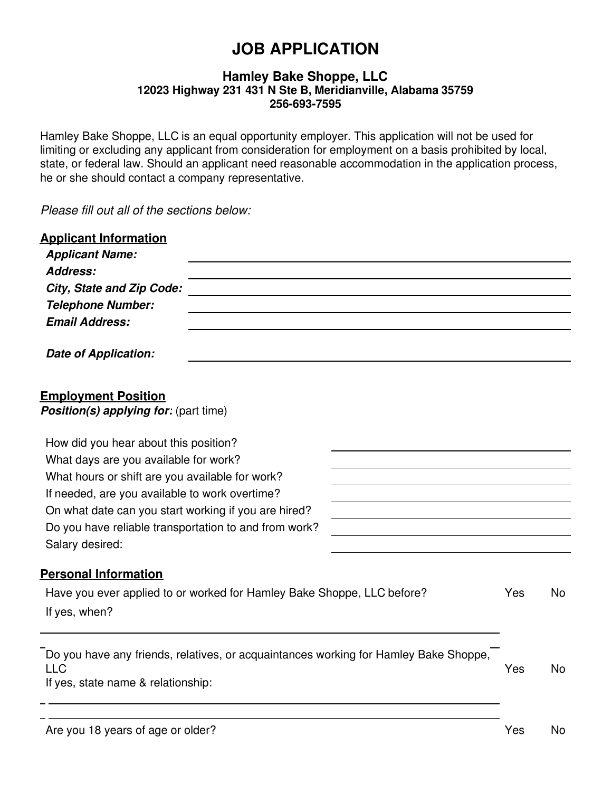# **JOB APPLICATION**

#### **Hamley Bake Shoppe, LLC 12023 Highway 231 431 N Ste B, Meridianville, Alabama 35759 256-693-7595**

Hamley Bake Shoppe, LLC is an equal opportunity employer. This application will not be used for limiting or excluding any applicant from consideration for employment on a basis prohibited by local, state, or federal law. Should an applicant need reasonable accommodation in the application process, he or she should contact a company representative.

*Please fill out all of the sections below:*

| <b>Applicant Information</b><br><b>Applicant Name:</b><br>Address:                                                                                                                                 |                                                                                      |  |     |           |
|----------------------------------------------------------------------------------------------------------------------------------------------------------------------------------------------------|--------------------------------------------------------------------------------------|--|-----|-----------|
| <b>City, State and Zip Code:</b>                                                                                                                                                                   |                                                                                      |  |     |           |
| <b>Telephone Number:</b>                                                                                                                                                                           |                                                                                      |  |     |           |
| <b>Email Address:</b>                                                                                                                                                                              |                                                                                      |  |     |           |
| <b>Date of Application:</b>                                                                                                                                                                        |                                                                                      |  |     |           |
| <b>Employment Position</b><br><b>Position(s) applying for:</b> (part time)                                                                                                                         |                                                                                      |  |     |           |
| How did you hear about this position?                                                                                                                                                              |                                                                                      |  |     |           |
| What days are you available for work?<br>What hours or shift are you available for work?<br>If needed, are you available to work overtime?<br>On what date can you start working if you are hired? |                                                                                      |  |     |           |
|                                                                                                                                                                                                    |                                                                                      |  |     |           |
|                                                                                                                                                                                                    |                                                                                      |  |     |           |
|                                                                                                                                                                                                    |                                                                                      |  |     |           |
| Do you have reliable transportation to and from work?                                                                                                                                              |                                                                                      |  |     |           |
| Salary desired:                                                                                                                                                                                    |                                                                                      |  |     |           |
| <b>Personal Information</b>                                                                                                                                                                        |                                                                                      |  |     |           |
|                                                                                                                                                                                                    | Have you ever applied to or worked for Hamley Bake Shoppe, LLC before?               |  | Yes | <b>No</b> |
| If yes, when?                                                                                                                                                                                      |                                                                                      |  |     |           |
| <b>LLC</b><br>If yes, state name & relationship:                                                                                                                                                   | Do you have any friends, relatives, or acquaintances working for Hamley Bake Shoppe, |  | Yes | <b>No</b> |
|                                                                                                                                                                                                    |                                                                                      |  |     |           |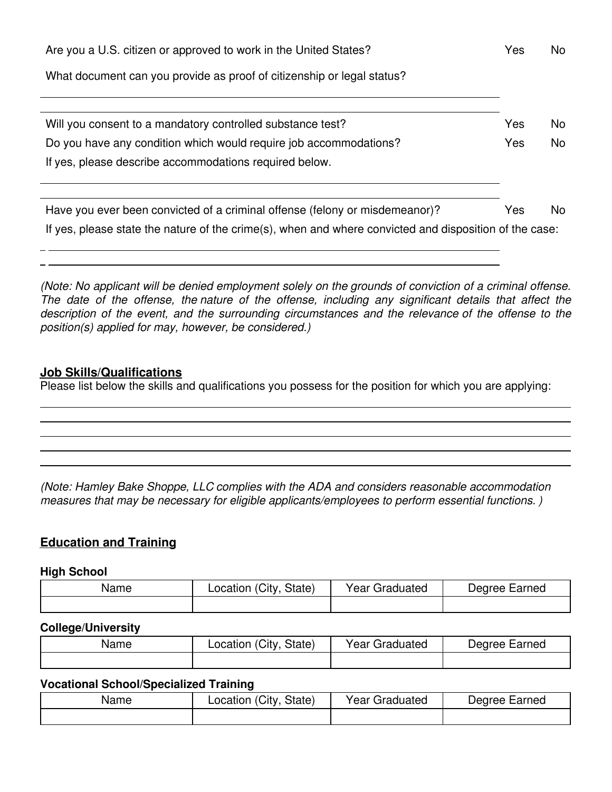| Are you a U.S. citizen or approved to work in the United States?                                       | Yes | No. |
|--------------------------------------------------------------------------------------------------------|-----|-----|
| What document can you provide as proof of citizenship or legal status?                                 |     |     |
|                                                                                                        |     |     |
| Will you consent to a mandatory controlled substance test?                                             | Yes | No. |
| Do you have any condition which would require job accommodations?                                      | Yes | No. |
| If yes, please describe accommodations required below.                                                 |     |     |
|                                                                                                        |     |     |
| Have you ever been convicted of a criminal offense (felony or misdemeanor)?                            | Yes | No. |
| If yes, please state the nature of the crime(s), when and where convicted and disposition of the case: |     |     |

*(Note: No applicant will be denied employment solely on the grounds of conviction of a criminal offense. The date of the offense, the nature of the offense, including any significant details that affect the description of the event, and the surrounding circumstances and the relevance of the offense to the position(s) applied for may, however, be considered.)*

#### **Job Skills/Qualifications**

Please list below the skills and qualifications you possess for the position for which you are applying:

*(Note: Hamley Bake Shoppe, LLC complies with the ADA and considers reasonable accommodation measures that may be necessary for eligible applicants/employees to perform essential functions. )*

# **Education and Training**

#### **High School**

| Name | Location (City,<br>State) | Year Graduated | Degree Earned |
|------|---------------------------|----------------|---------------|
|      |                           |                |               |

#### **College/University**

| Name | Location (City, State) | Year Graduated | Degree Earned |
|------|------------------------|----------------|---------------|
|      |                        |                |               |

#### **Vocational School/Specialized Training**

| Name | (Citv<br>State)<br>Location | Year C<br>Graduated | Earned<br>Dearee |
|------|-----------------------------|---------------------|------------------|
|      |                             |                     |                  |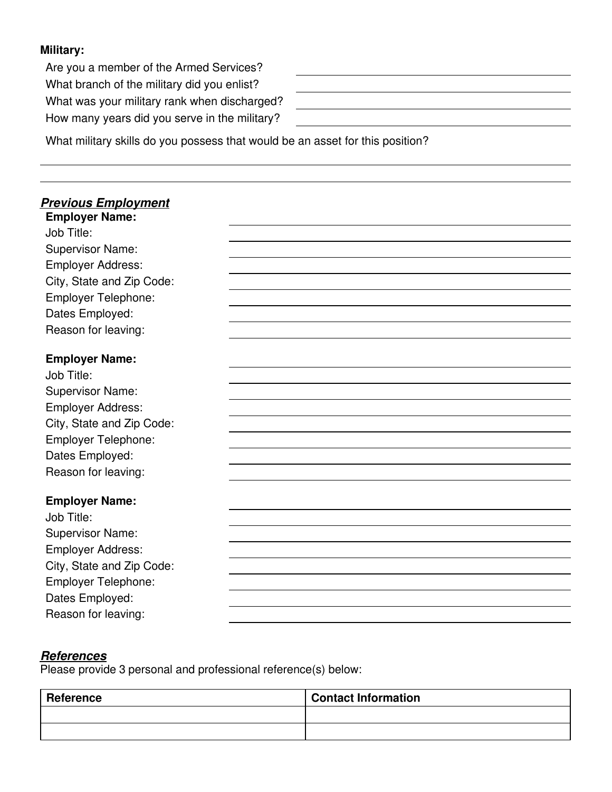## **Military:**

Are you a member of the Armed Services? What branch of the military did you enlist? What was your military rank when discharged? How many years did you serve in the military?

What military skills do you possess that would be an asset for this position?

#### *Previous Employment* **Employer Name:**

Job Title: Supervisor Name: Employer Address: City, State and Zip Code: Employer Telephone: Dates Employed: Reason for leaving:

#### **Employer Name:**

| Job Title:                 |  |
|----------------------------|--|
| <b>Supervisor Name:</b>    |  |
| <b>Employer Address:</b>   |  |
| City, State and Zip Code:  |  |
| <b>Employer Telephone:</b> |  |
| Dates Employed:            |  |
| Reason for leaving:        |  |
| <b>Employer Name:</b>      |  |
| Job Title:                 |  |
| <b>Supervisor Name:</b>    |  |
| <b>Employer Address:</b>   |  |
| City, State and Zip Code:  |  |
| <b>Employer Telephone:</b> |  |
| Dates Employed:            |  |
| Reason for leaving:        |  |

#### *References*

Please provide 3 personal and professional reference(s) below:

| Reference | <b>Contact Information</b> |
|-----------|----------------------------|
|           |                            |
|           |                            |